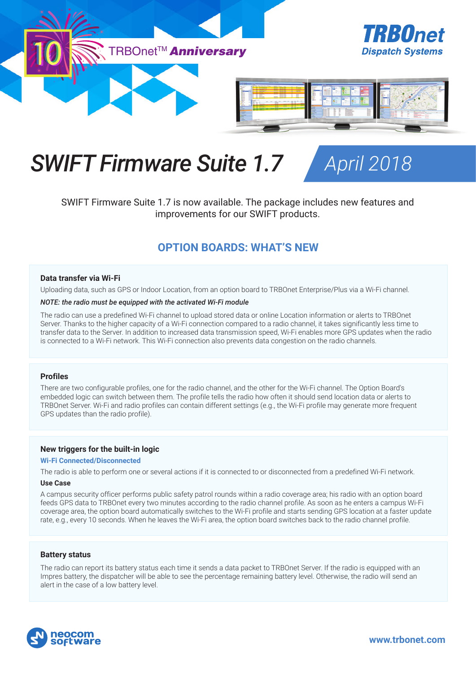

# *SWIFT Firmware Suite 1.7 April 2018*



SWIFT Firmware Suite 1.7 is now available. The package includes new features and improvements for our SWIFT products.

## **OPTION BOARDS: WHAT'S NEW**

#### **Data transfer via Wi-Fi**

Uploading data, such as GPS or Indoor Location, from an option board to TRBOnet Enterprise/Plus via a Wi-Fi channel.

#### *NOTE: the radio must be equipped with the activated Wi-Fi module*

The radio can use a predefined Wi-Fi channel to upload stored data or online Location information or alerts to TRBOnet Server. Thanks to the higher capacity of a Wi-Fi connection compared to a radio channel, it takes significantly less time to transfer data to the Server. In addition to increased data transmission speed, Wi-Fi enables more GPS updates when the radio is connected to a Wi-Fi network. This Wi-Fi connection also prevents data congestion on the radio channels.

#### **Profiles**

There are two configurable profiles, one for the radio channel, and the other for the Wi-Fi channel. The Option Board's embedded logic can switch between them. The profile tells the radio how often it should send location data or alerts to TRBOnet Server. Wi-Fi and radio profiles can contain different settings (e.g., the Wi-Fi profile may generate more frequent GPS updates than the radio profile).

#### **New triggers for the built-in logic**

#### **Wi-Fi Connected/Disconnected**

The radio is able to perform one or several actions if it is connected to or disconnected from a predefined Wi-Fi network.

#### **Use Case**

A campus security officer performs public safety patrol rounds within a radio coverage area; his radio with an option board feeds GPS data to TRBOnet every two minutes according to the radio channel profile. As soon as he enters a campus Wi-Fi coverage area, the option board automatically switches to the Wi-Fi profile and starts sending GPS location at a faster update rate, e.g., every 10 seconds. When he leaves the Wi-Fi area, the option board switches back to the radio channel profile.

#### **Battery status**

The radio can report its battery status each time it sends a data packet to TRBOnet Server. If the radio is equipped with an Impres battery, the dispatcher will be able to see the percentage remaining battery level. Otherwise, the radio will send an alert in the case of a low battery level.